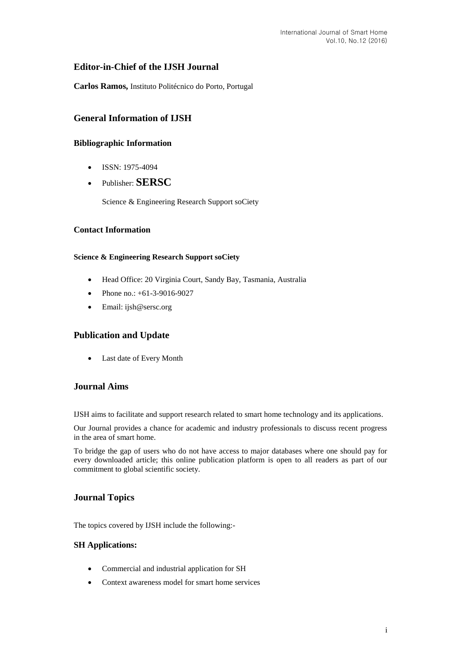# **Editor-in-Chief of the IJSH Journal**

**Carlos Ramos,** Instituto Politécnico do Porto, Portugal

# **General Information of IJSH**

# **Bibliographic Information**

- $\bullet$  ISSN: 1975-4094
- Publisher: **SERSC**

Science & Engineering Research Support soCiety

## **Contact Information**

### **Science & Engineering Research Support soCiety**

- Head Office: 20 Virginia Court, Sandy Bay, Tasmania, Australia
- Phone no.: +61-3-9016-9027
- Email: [ijsh@sersc.org](mailto:ijast@sersc.org)

# **Publication and Update**

Last date of Every Month

# **Journal Aims**

IJSH aims to facilitate and support research related to smart home technology and its applications.

Our Journal provides a chance for academic and industry professionals to discuss recent progress in the area of smart home.

To bridge the gap of users who do not have access to major databases where one should pay for every downloaded article; this online publication platform is open to all readers as part of our commitment to global scientific society.

# **Journal Topics**

The topics covered by IJSH include the following:-

#### **SH Applications:**

- Commercial and industrial application for SH
- Context awareness model for smart home services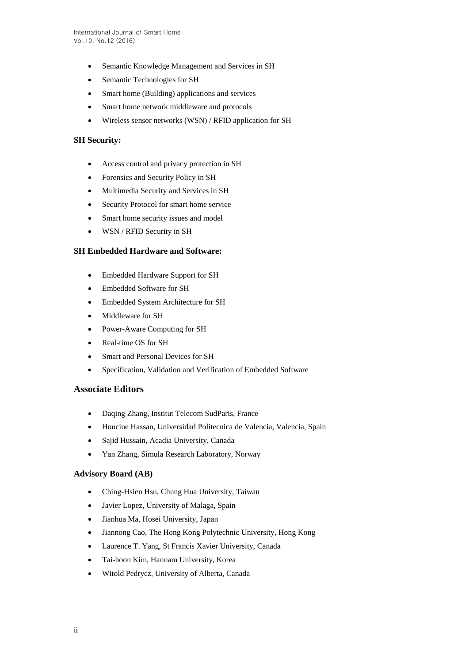- Semantic Knowledge Management and Services in SH
- Semantic Technologies for SH
- Smart home (Building) applications and services
- Smart home network middleware and protocols
- Wireless sensor networks (WSN) / RFID application for SH

### **SH Security:**

- Access control and privacy protection in SH
- Forensics and Security Policy in SH
- Multimedia Security and Services in SH
- Security Protocol for smart home service
- Smart home security issues and model
- WSN / RFID Security in SH

### **SH Embedded Hardware and Software:**

- Embedded Hardware Support for SH
- Embedded Software for SH
- Embedded System Architecture for SH
- Middleware for SH
- Power-Aware Computing for SH
- Real-time OS for SH
- Smart and Personal Devices for SH
- Specification, Validation and Verification of Embedded Software

### **Associate Editors**

- Daqing Zhang, Institut Telecom SudParis, France
- Houcine Hassan, Universidad Politecnica de Valencia, Valencia, Spain
- Sajid Hussain, Acadia University, Canada
- Yan Zhang, Simula Research Laboratory, Norway

## **Advisory Board (AB)**

- Ching-Hsien Hsu, Chung Hua University, Taiwan
- Javier Lopez, University of Malaga, Spain
- Jianhua Ma, Hosei University, Japan
- Jiannong Cao, The Hong Kong Polytechnic University, Hong Kong
- Laurence T. Yang, St Francis Xavier University, Canada
- Tai-hoon Kim, Hannam University, Korea
- Witold Pedrycz, University of Alberta, Canada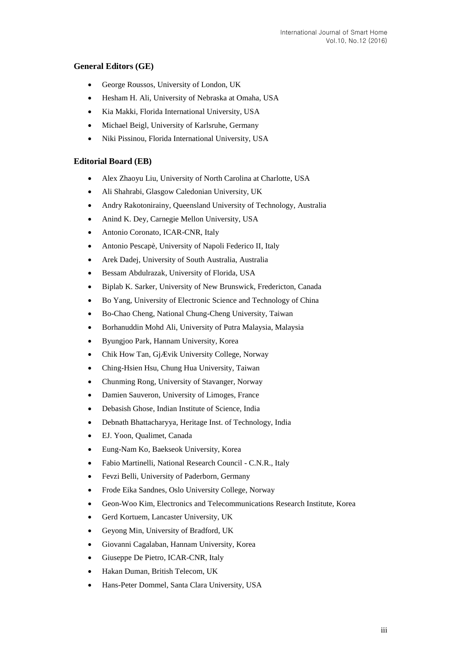# **General Editors (GE)**

- George Roussos, University of London, UK
- Hesham H. Ali, University of Nebraska at Omaha, USA
- Kia Makki, Florida International University, USA
- Michael Beigl, University of Karlsruhe, Germany
- Niki Pissinou, Florida International University, USA

### **Editorial Board (EB)**

- Alex Zhaoyu Liu, University of North Carolina at Charlotte, USA
- Ali Shahrabi, Glasgow Caledonian University, UK
- Andry Rakotonirainy, Queensland University of Technology, Australia
- Anind K. Dey, Carnegie Mellon University, USA
- Antonio Coronato, ICAR-CNR, Italy
- Antonio Pescapè, University of Napoli Federico II, Italy
- Arek Dadej, University of South Australia, Australia
- Bessam Abdulrazak, University of Florida, USA
- Biplab K. Sarker, University of New Brunswick, Fredericton, Canada
- Bo Yang, University of Electronic Science and Technology of China
- Bo-Chao Cheng, National Chung-Cheng University, Taiwan
- Borhanuddin Mohd Ali, University of Putra Malaysia, Malaysia
- Byungjoo Park, Hannam University, Korea
- Chik How Tan, GjÆ vik University College, Norway
- Ching-Hsien Hsu, Chung Hua University, Taiwan
- Chunming Rong, University of Stavanger, Norway
- Damien Sauveron, University of Limoges, France
- Debasish Ghose, Indian Institute of Science, India
- Debnath Bhattacharyya, Heritage Inst. of Technology, India
- EJ. Yoon, Qualimet, Canada
- Eung-Nam Ko, Baekseok University, Korea
- Fabio Martinelli, National Research Council C.N.R., Italy
- Fevzi Belli, University of Paderborn, Germany
- Frode Eika Sandnes, Oslo University College, Norway
- Geon-Woo Kim, Electronics and Telecommunications Research Institute, Korea
- Gerd Kortuem, Lancaster University, UK
- Geyong Min, University of Bradford, UK
- Giovanni Cagalaban, Hannam University, Korea
- Giuseppe De Pietro, ICAR-CNR, Italy
- Hakan Duman, British Telecom, UK
- Hans-Peter Dommel, Santa Clara University, USA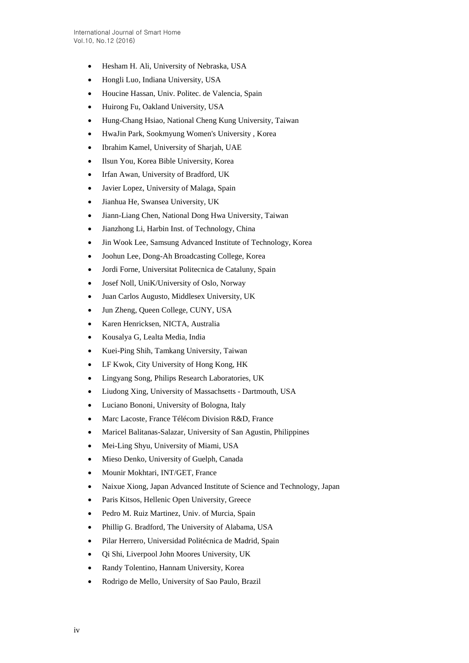- Hesham H. Ali, University of Nebraska, USA
- Hongli Luo, Indiana University, USA
- Houcine Hassan, Univ. Politec. de Valencia, Spain
- Huirong Fu, Oakland University, USA
- Hung-Chang Hsiao, National Cheng Kung University, Taiwan
- HwaJin Park, Sookmyung Women's University , Korea
- Ibrahim Kamel, University of Sharjah, UAE
- Ilsun You, Korea Bible University, Korea
- Irfan Awan, University of Bradford, UK
- Javier Lopez, University of Malaga, Spain
- Jianhua He, Swansea University, UK
- Jiann-Liang Chen, National Dong Hwa University, Taiwan
- Jianzhong Li, Harbin Inst. of Technology, China
- Jin Wook Lee, Samsung Advanced Institute of Technology, Korea
- Joohun Lee, Dong-Ah Broadcasting College, Korea
- Jordi Forne, Universitat Politecnica de Cataluny, Spain
- Josef Noll, UniK/University of Oslo, Norway
- Juan Carlos Augusto, Middlesex University, UK
- Jun Zheng, Queen College, CUNY, USA
- Karen Henricksen, NICTA, Australia
- Kousalya G, Lealta Media, India
- Kuei-Ping Shih, Tamkang University, Taiwan
- LF Kwok, City University of Hong Kong, HK
- Lingyang Song, Philips Research Laboratories, UK
- Liudong Xing, University of Massachsetts Dartmouth, USA
- Luciano Bononi, University of Bologna, Italy
- Marc Lacoste, France Télécom Division R&D, France
- Maricel Balitanas-Salazar, University of San Agustin, Philippines
- Mei-Ling Shyu, University of Miami, USA
- Mieso Denko, University of Guelph, Canada
- Mounir Mokhtari, INT/GET, France
- Naixue Xiong, Japan Advanced Institute of Science and Technology, Japan
- Paris Kitsos, Hellenic Open University, Greece
- Pedro M. Ruiz Martinez, Univ. of Murcia, Spain
- Phillip G. Bradford, The University of Alabama, USA
- Pilar Herrero, Universidad Politécnica de Madrid, Spain
- Qi Shi, Liverpool John Moores University, UK
- Randy Tolentino, Hannam University, Korea
- Rodrigo de Mello, University of Sao Paulo, Brazil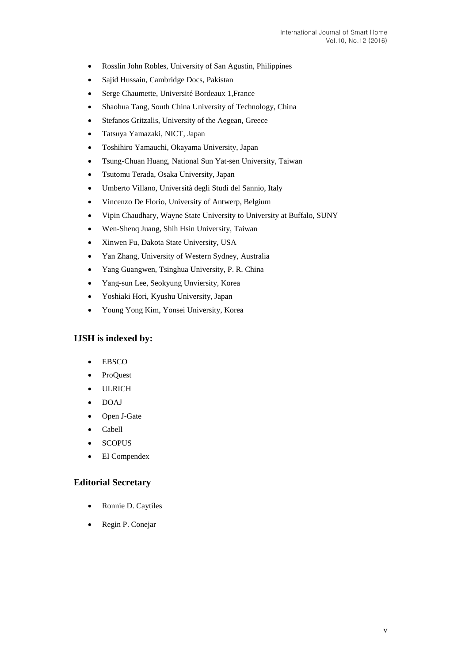- Rosslin John Robles, University of San Agustin, Philippines
- Sajid Hussain, Cambridge Docs, Pakistan
- Serge Chaumette, Université Bordeaux 1,France
- Shaohua Tang, South China University of Technology, China
- Stefanos Gritzalis, University of the Aegean, Greece
- Tatsuya Yamazaki, NICT, Japan
- Toshihiro Yamauchi, Okayama University, Japan
- Tsung-Chuan Huang, National Sun Yat-sen University, Taiwan
- Tsutomu Terada, Osaka University, Japan
- Umberto Villano, Università degli Studi del Sannio, Italy
- Vincenzo De Florio, University of Antwerp, Belgium
- Vipin Chaudhary, Wayne State University to University at Buffalo, SUNY
- Wen-Shenq Juang, Shih Hsin University, Taiwan
- Xinwen Fu, Dakota State University, USA
- Yan Zhang, University of Western Sydney, Australia
- Yang Guangwen, Tsinghua University, P. R. China
- Yang-sun Lee, Seokyung Unviersity, Korea
- Yoshiaki Hori, Kyushu University, Japan
- Young Yong Kim, Yonsei University, Korea

## **IJSH is indexed by:**

- EBSCO
- ProQuest
- ULRICH
- DOAJ
- Open J-Gate
- Cabell
- **SCOPUS**
- EI Compendex

#### **Editorial Secretary**

- Ronnie D. Caytiles
- Regin P. Conejar